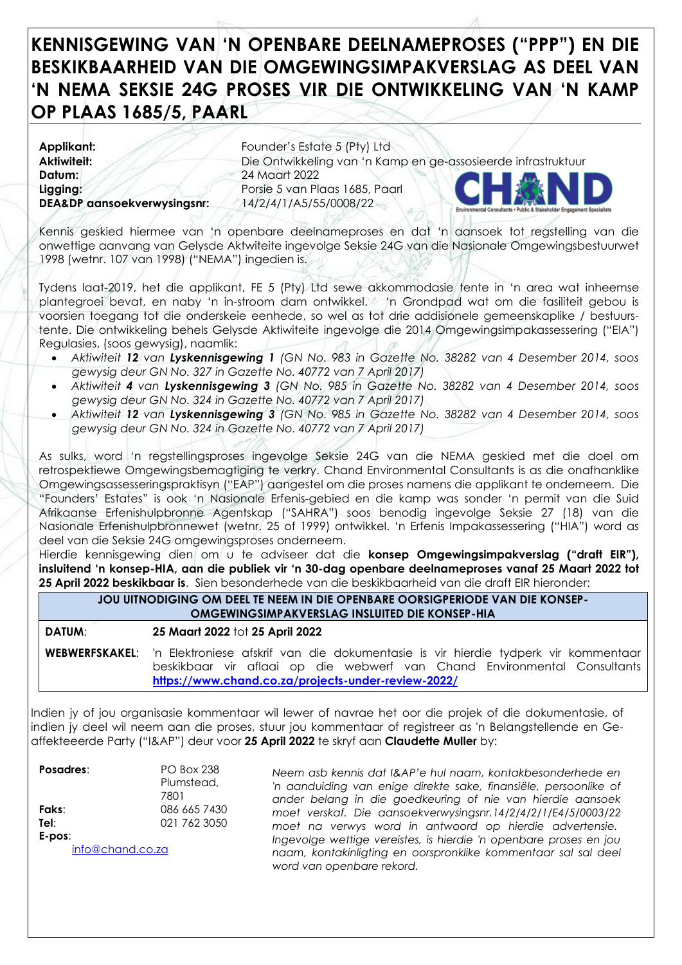## **KENNISGEWING VAN 'N OPENBARE DEELNAMEPROSES ("PPP") EN DIE BESKIKBAARHEID VAN DIE OMGEWINGSIMPAKVERSLAG AS DEEL VAN 'N NEMA SEKSIE 24G PROSES VIR DIE ONTWIKKELING VAN 'N KAMP OP PLAAS 1685/5, PAARL**

**Applikant:** Founder's Estate 5 (Pty) Ltd **Datum:** 24 Maart 2022 **Ligging:** Porsie 5 van Plaas 1685, Paarl **DEA&DP aansoekverwysingsnr:** 14/2/4/1/A5/55/0008/22

**Aktiwiteit:** Die Ontwikkeling van 'n Kamp en ge-assosieerde infrastruktuur



Kennis geskied hiermee van 'n openbare deelnameproses en dat 'n aansoek tot regstelling van die onwettige aanvang van Gelysde Aktwiteite ingevolge Seksie 24G van die Nasionale Omgewingsbestuurwet 1998 (wetnr. 107 van 1998) ("NEMA") ingedien is.

Tydens laat-2019, het die applikant, FE 5 (Pty) Ltd sewe akkommodasie tente in 'n area wat inheemse plantegroei bevat, en naby 'n in-stroom dam ontwikkel. 'n Grondpad wat om die fasiliteit gebou is voorsien toegang tot die onderskeie eenhede, so wel as tot drie addisionele gemeenskaplike / bestuurstente. Die ontwikkeling behels Gelysde Aktiwiteite ingevolge die 2014 Omgewingsimpakassessering ("EIA") Regulasies, (soos gewysig), naamlik:

- *Aktiwiteit 12 van Lyskennisgewing 1 (GN No. 983 in Gazette No. 38282 van 4 Desember 2014, soos gewysig deur GN No. 327 in Gazette No. 40772 van 7 April 2017)*
- *Aktiwiteit 4 van Lyskennisgewing 3 (GN No. 985 in Gazette No. 38282 van 4 Desember 2014, soos gewysig deur GN No. 324 in Gazette No. 40772 van 7 April 2017)*
- *Aktiwiteit 12 van Lyskennisgewing 3 (GN No. 985 in Gazette No. 38282 van 4 Desember 2014, soos gewysig deur GN No. 324 in Gazette No. 40772 van 7 April 2017)*

As sulks, word 'n regstellingsproses ingevolge Seksie 24G van die NEMA geskied met die doel om retrospektiewe Omgewingsbemagtiging te verkry. Chand Environmental Consultants is as die onafhanklike Omgewingsassesseringspraktisyn ("EAP") aangestel om die proses namens die applikant te onderneem. Die "Founders' Estates" is ook 'n Nasionale Erfenis-gebied en die kamp was sonder 'n permit van die Suid Afrikaanse Erfenishulpbronne Agentskap ("SAHRA") soos benodig ingevolge Seksie 27 (18) van die Nasionale Erfenishulpbronnewet (wetnr. 25 of 1999) ontwikkel. 'n Erfenis Impakassessering ("HIA") word as deel van die Seksie 24G omgewingsproses onderneem.

Hierdie kennisgewing dien om u te adviseer dat die **konsep Omgewingsimpakverslag ("draft EIR"), insluitend 'n konsep-HIA, aan die publiek vir 'n 30-dag openbare deelnameproses vanaf 25 Maart 2022 tot 25 April 2022 beskikbaar is**. Sien besonderhede van die beskikbaarheid van die draft EIR hieronder:

**JOU UITNODIGING OM DEEL TE NEEM IN DIE OPENBARE OORSIGPERIODE VAN DIE KONSEP-OMGEWINGSIMPAKVERSLAG INSLUITED DIE KONSEP-HIA**

**DATUM**: **25 Maart 2022** tot **25 April 2022**

**WEBWERFSKAKEL**: 'n Elektroniese afskrif van die dokumentasie is vir hierdie tydperk vir kommentaar beskikbaar vir aflaai op die webwerf van Chand Environmental Consultants **<https://www.chand.co.za/projects-under-review-2022/>**

Indien jy of jou organisasie kommentaar wil lewer of navrae het oor die projek of die dokumentasie, of indien jy deel wil neem aan die proses, stuur jou kommentaar of registreer as 'n Belangstellende en Geaffekteeerde Party ("I&AP") deur voor **25 April 2022** te skryf aan **Claudette Muller** by:

| Posadres:               | <b>PO Box 238</b><br>Plumstead,<br>7801 | Neem<br>'n aar<br>ander |
|-------------------------|-----------------------------------------|-------------------------|
| Faks:<br>Tel:<br>E-pos: | 086 665 7430<br>021 762 3050            | moet<br>moet<br>Ingevo  |
| info@chand.co.za        | naam                                    |                         |

*Neem asb kennis dat I&AP'e hul naam, kontakbesonderhede en 'n aanduiding van enige direkte sake, finansiële, persoonlike of ander belang in die goedkeuring of nie van hierdie aansoek moet verskaf. Die aansoekverwysingsnr.14/2/4/2/1/E4/5/0003/22 moet na verwys word in antwoord op hierdie advertensie. Ingevolge wettige vereistes, is hierdie 'n openbare proses en jou naam, kontakinligting en oorspronklike kommentaar sal sal deel word van openbare rekord.*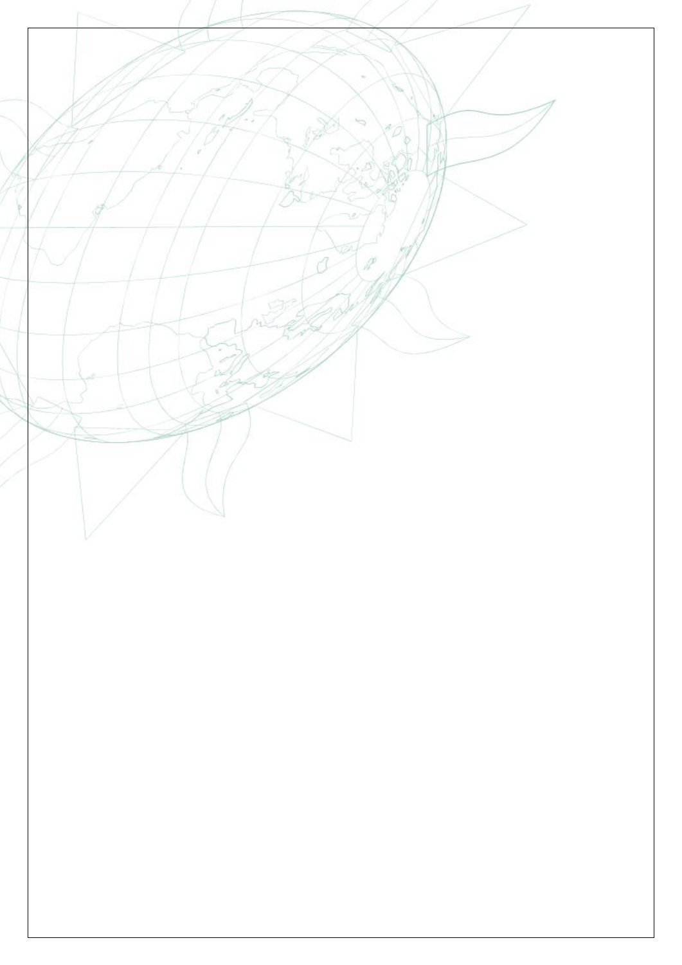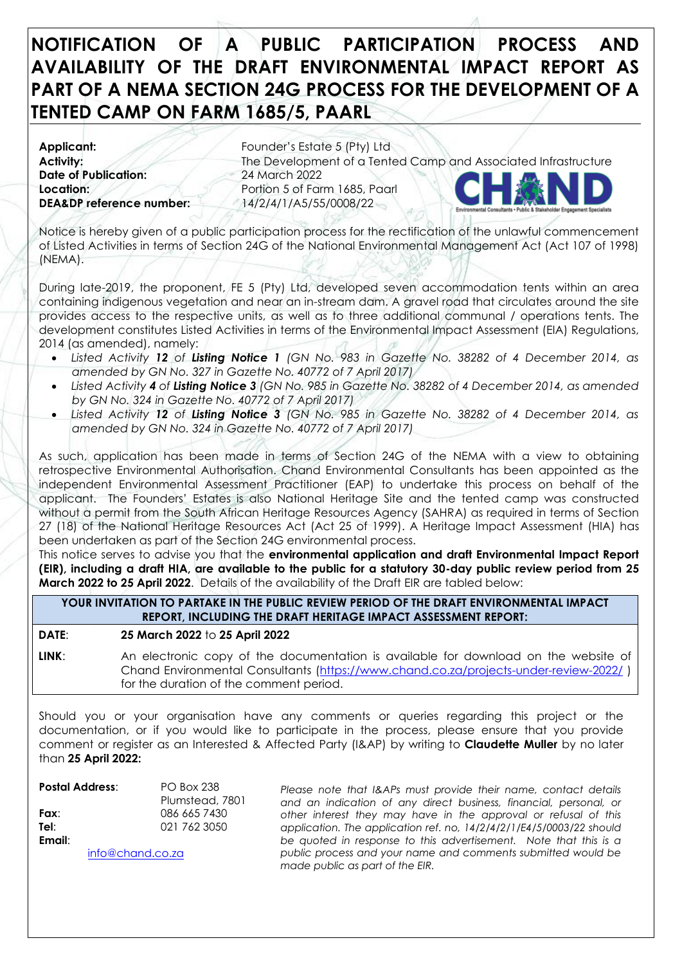## **NOTIFICATION OF A PUBLIC PARTICIPATION PROCESS AND AVAILABILITY OF THE DRAFT ENVIRONMENTAL IMPACT REPORT AS PART OF A NEMA SECTION 24G PROCESS FOR THE DEVELOPMENT OF A TENTED CAMP ON FARM 1685/5, PAARL**

**Applicant:** Founder's Estate 5 (Pty) Ltd **Date of Publication:** 24 March 2022 **DEA&DP reference number:** 14/2/4/1/A5/55/0008/22

**Activity:** The Development of a Tented Camp and Associated Infrastructure **Location:** Portion 5 of Farm 1685, Paarl



Notice is hereby given of a public participation process for the rectification of the unlawful commencement of Listed Activities in terms of Section 24G of the National Environmental Management Act (Act 107 of 1998) (NEMA).

During late-2019, the proponent, FE 5 (Pty) Ltd, developed seven accommodation tents within an area containing indigenous vegetation and near an in-stream dam. A gravel road that circulates around the site provides access to the respective units, as well as to three additional communal / operations tents. The development constitutes Listed Activities in terms of the Environmental Impact Assessment (EIA) Regulations, 2014 (as amended), namely:

- *Listed Activity 12 of Listing Notice 1 (GN No. 983 in Gazette No. 38282 of 4 December 2014, as amended by GN No. 327 in Gazette No. 40772 of 7 April 2017)*
- *Listed Activity 4 of Listing Notice 3 (GN No. 985 in Gazette No. 38282 of 4 December 2014, as amended by GN No. 324 in Gazette No. 40772 of 7 April 2017)*
- *Listed Activity 12 of Listing Notice 3 (GN No. 985 in Gazette No. 38282 of 4 December 2014, as amended by GN No. 324 in Gazette No. 40772 of 7 April 2017)*

As such, application has been made in terms of Section 24G of the NEMA with a view to obtaining retrospective Environmental Authorisation. Chand Environmental Consultants has been appointed as the independent Environmental Assessment Practitioner (EAP) to undertake this process on behalf of the applicant. The Founders' Estates is also National Heritage Site and the tented camp was constructed without a permit from the South African Heritage Resources Agency (SAHRA) as required in terms of Section 27 (18) of the National Heritage Resources Act (Act 25 of 1999). A Heritage Impact Assessment (HIA) has been undertaken as part of the Section 24G environmental process.

This notice serves to advise you that the **environmental application and draft Environmental Impact Report (EIR), including a draft HIA, are available to the public for a statutory 30-day public review period from 25 March 2022 to 25 April 2022**. Details of the availability of the Draft EIR are tabled below:

## **YOUR INVITATION TO PARTAKE IN THE PUBLIC REVIEW PERIOD OF THE DRAFT ENVIRONMENTAL IMPACT REPORT, INCLUDING THE DRAFT HERITAGE IMPACT ASSESSMENT REPORT:**

## **DATE**: **25 March 2022** to **25 April 2022**

**LINK**: An electronic copy of the documentation is available for download on the website of Chand Environmental Consultants [\(https://www.chand.co.za/projects-under-review-2022/](https://www.chand.co.za/projects-under-review-2022/) ) for the duration of the comment period.

Should you or your organisation have any comments or queries regarding this project or the documentation, or if you would like to participate in the process, please ensure that you provide comment or register as an Interested & Affected Party (I&AP) by writing to **Claudette Muller** by no later than **25 April 2022:**

| <b>Postal Address:</b> | <b>PO Box 238</b> | Please note   |
|------------------------|-------------------|---------------|
|                        | Plumstead, 7801   | and an indi   |
| Fax:                   | 086 665 7430      | other interes |
| Tel:                   | 021 762 3050      | application.  |
| Email:                 |                   | be quoted i   |
| info@chand.co.za       |                   | public proce  |

*Please note that I&APs must provide their name, contact details and an indication of any direct business, financial, personal, or other interest they may have in the approval or refusal of this application. The application ref. no, 14/2/4/2/1/E4/5/0003/22 should be quoted in response to this advertisement. Note that this is a public process and your name and comments submitted would be made public as part of the EIR.*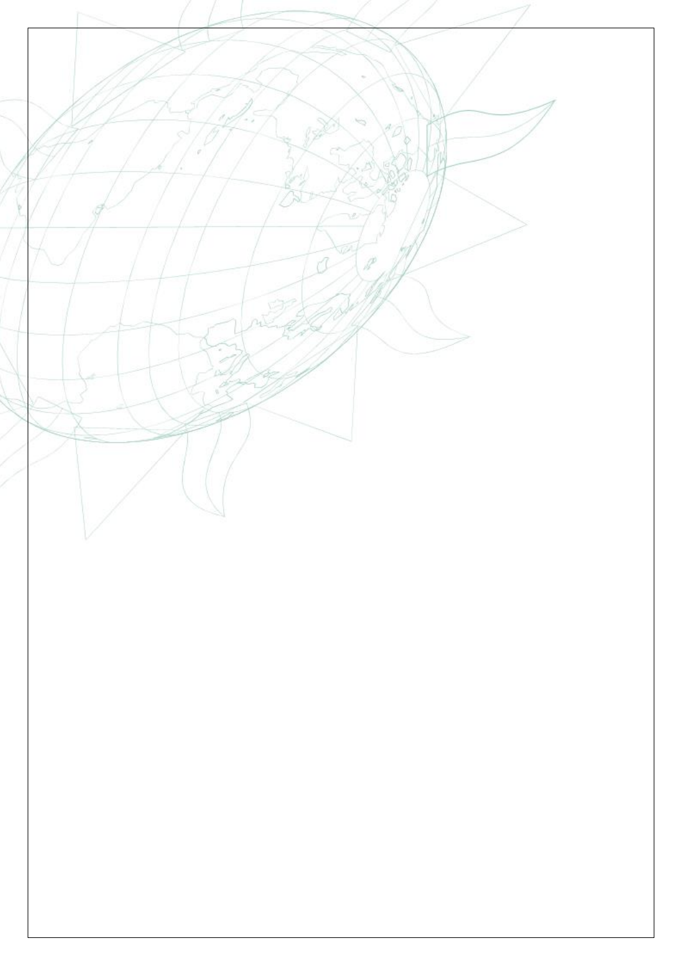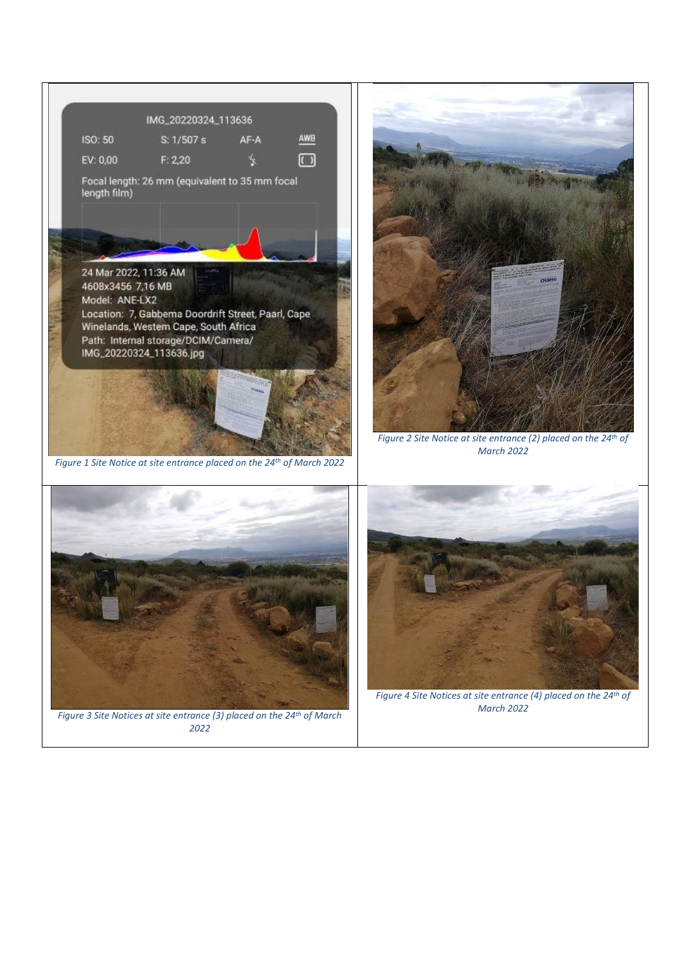